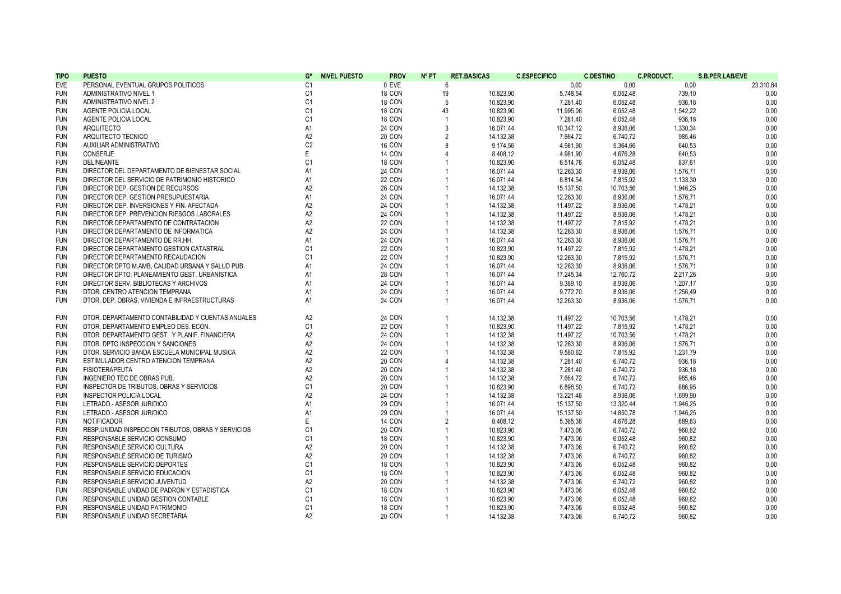| <b>TIPO</b> | <b>PUESTO</b>                                       | G°             | <b>NIVEL PUESTO</b> | <b>PROV</b>   | $N^{\circ}$ PT | <b>RET.BASICAS</b> | <b>C.ESPECIFICO</b> | <b>C.DESTINO</b> | <b>C.PRODUCT.</b> | S.B.PER.LAB/EVE |
|-------------|-----------------------------------------------------|----------------|---------------------|---------------|----------------|--------------------|---------------------|------------------|-------------------|-----------------|
| EVE         | PERSONAL EVENTUAL GRUPOS POLITICOS                  | C <sub>1</sub> |                     | 0 EVE         | 6              |                    | 0,00                | 0,00             | 0,00              | 23.310,84       |
| <b>FUN</b>  | ADMINISTRATIVO NIVEL 1                              | C <sub>1</sub> |                     | 18 CON        | 19             | 10.823,90          | 5.748,54            | 6.052,48         | 739,10            | 0,00            |
| <b>FUN</b>  | ADMINISTRATIVO NIVEL 2                              | C <sub>1</sub> |                     | 18 CON        | 5              | 10.823,90          | 7.281,40            | 6.052,48         | 936,18            | 0,00            |
| <b>FUN</b>  | AGENTE POLICIA LOCAL                                | C1             |                     | 18 CON        | 43             | 10.823,90          | 11.995,06           | 6.052,48         | 1.542,22          | 0,00            |
| <b>FUN</b>  | AGENTE POLICIA LOCAL                                | C1             |                     | 18 CON        | $\overline{1}$ | 10.823,90          | 7.281,40            | 6.052,48         | 936,18            | 0,00            |
| <b>FUN</b>  | ARQUITECTO                                          | A <sub>1</sub> |                     | 24 CON        | 3              | 16.071,44          | 10.347,12           | 8.936,06         | 1.330,34          | 0,00            |
| <b>FUN</b>  | ARQUITECTO TECNICO                                  | A <sub>2</sub> |                     | 20 CON        | $\overline{2}$ | 14.132,38          | 7.664.72            | 6.740,72         | 985,46            | 0,00            |
| <b>FUN</b>  | AUXILIAR ADMINISTRATIVO                             | C <sub>2</sub> |                     | 16 CON        | 8              | 9.174.56           | 4.981.90            | 5.364,66         | 640,53            | 0,00            |
| <b>FUN</b>  | CONSERJE                                            | E              |                     | 14 CON        | $\Delta$       | 8.408,12           | 4.981,90            | 4.676,28         | 640,53            | 0,00            |
| <b>FUN</b>  | <b>DELINEANTE</b>                                   | C <sub>1</sub> |                     | 18 CON        |                | 10.823,90          | 6.514,76            | 6.052,48         | 837,61            | 0,00            |
| <b>FUN</b>  | DIRECTOR DEL DEPARTAMENTO DE BIENESTAR SOCIAL       | A <sub>1</sub> |                     | 24 CON        |                | 16.071,44          | 12.263,30           | 8.936,06         | 1.576,71          | 0,00            |
| <b>FUN</b>  | DIRECTOR DEL SERVICIO DE PATRIMONIO HISTORICO       | A <sub>1</sub> |                     | 22 CON        |                | 16.071.44          | 8.814.54            | 7.815,92         | 1.133,30          | 0.00            |
| <b>FUN</b>  | DIRECTOR DEP. GESTION DE RECURSOS                   | A <sub>2</sub> |                     | <b>26 CON</b> |                | 14.132,38          | 15.137,50           | 10.703,56        | 1.946,25          | 0,00            |
| <b>FUN</b>  | DIRECTOR DEP. GESTION PRESUPUESTARIA                | A <sub>1</sub> |                     | 24 CON        |                | 16.071,44          | 12.263,30           | 8.936,06         | 1.576,71          | 0,00            |
| <b>FUN</b>  | DIRECTOR DEP. INVERSIONES Y FIN. AFECTADA           | A <sub>2</sub> |                     | 24 CON        | $\overline{1}$ | 14.132,38          | 11.497,22           | 8.936,06         | 1.478,21          | 0,00            |
| <b>FUN</b>  | DIRECTOR DEP. PREVENCION RIESGOS LABORALES          | A <sub>2</sub> |                     | 24 CON        |                | 14.132,38          | 11.497,22           | 8.936,06         | 1.478,21          | 0,00            |
| <b>FUN</b>  | DIRECTOR DEPARTAMENTO DE CONTRATACION               | A <sub>2</sub> |                     | <b>22 CON</b> | $\overline{1}$ | 14.132,38          | 11.497,22           | 7.815,92         | 1.478,21          | 0,00            |
| <b>FUN</b>  | DIRECTOR DEPARTAMENTO DE INFORMATICA                | A <sub>2</sub> |                     | 24 CON        |                | 14.132,38          | 12.263,30           | 8.936,06         | 1.576,71          | 0,00            |
| <b>FUN</b>  | DIRECTOR DEPARTAMENTO DE RR.HH.                     | A1             |                     | 24 CON        |                | 16.071,44          | 12.263,30           | 8.936,06         | 1.576,71          | 0,00            |
| <b>FUN</b>  | DIRECTOR DEPARTAMENTO GESTION CATASTRAL             | C <sub>1</sub> |                     | 22 CON        |                | 10.823,90          | 11.497,22           | 7.815,92         | 1.478,21          | 0,00            |
| <b>FUN</b>  | DIRECTOR DEPARTAMENTO RECAUDACION                   | C <sub>1</sub> |                     | 22 CON        |                | 10.823,90          | 12.263,30           | 7.815,92         | 1.576,71          | 0,00            |
| <b>FUN</b>  | DIRECTOR DPTO M.AMB. CALIDAD URBANA Y SALUD PUB.    | A1             |                     | 24 CON        | $\mathbf{1}$   | 16.071,44          | 12.263,30           | 8.936,06         | 1.576,71          | 0,00            |
| <b>FUN</b>  | DIRECTOR DPTO. PLANEAMIENTO GEST. URBANISTICA       | A1             |                     | 28 CON        | $\overline{1}$ | 16.071,44          | 17.245.34           | 12.760,72        | 2.217,26          | 0,00            |
| <b>FUN</b>  | DIRECTOR SERV. BIBLIOTECAS Y ARCHIVOS               | A1             |                     | 24 CON        | $\mathbf{1}$   | 16.071.44          | 9.389.10            | 8.936,06         | 1.207.17          | 0.00            |
|             |                                                     |                |                     |               |                |                    |                     |                  |                   |                 |
| <b>FUN</b>  | DTOR. CENTRO ATENCION TEMPRANA                      | A1             |                     | 24 CON        |                | 16.071,44          | 9.772,70            | 8.936,06         | 1.256,49          | 0.00            |
| <b>FUN</b>  | DTOR. DEP. OBRAS, VIVIENDA E INFRAESTRUCTURAS       | A <sub>1</sub> |                     | 24 CON        | $\overline{1}$ | 16.071,44          | 12.263,30           | 8.936,06         | 1.576,71          | 0,00            |
|             |                                                     |                |                     |               |                |                    |                     |                  |                   |                 |
| <b>FUN</b>  | DTOR. DEPARTAMENTO CONTABILIDAD Y CUENTAS ANUALES   | A <sub>2</sub> |                     | 24 CON        | $\overline{1}$ | 14.132,38          | 11.497,22           | 10.703,56        | 1.478,21          | 0,00            |
| <b>FUN</b>  | DTOR. DEPARTAMENTO EMPLEO DES. ECON.                | C <sub>1</sub> |                     | 22 CON        | $\mathbf{1}$   | 10.823,90          | 11.497,22           | 7.815,92         | 1.478,21          | 0,00            |
| <b>FUN</b>  | DTOR. DEPARTAMENTO GEST. Y PLANIF. FINANCIERA       | A <sub>2</sub> |                     | <b>24 CON</b> |                | 14.132,38          | 11.497,22           | 10.703,56        | 1.478,21          | 0,00            |
| <b>FUN</b>  | DTOR. DPTO INSPECCION Y SANCIONES                   | A2             |                     | 24 CON        | $\overline{1}$ | 14.132,38          | 12.263,30           | 8.936,06         | 1.576,71          | 0,00            |
| <b>FUN</b>  | DTOR. SERVICIO BANDA ESCUELA MUNICIPAL MUSICA       | A <sub>2</sub> |                     | 22 CON        |                | 14.132,38          | 9.580.62            | 7.815,92         | 1.231,79          | 0,00            |
| <b>FUN</b>  | ESTIMULADOR CENTRO ATENCION TEMPRANA                | A <sub>2</sub> |                     | 20 CON        | $\overline{4}$ | 14.132,38          | 7.281,40            | 6.740,72         | 936,18            | 0,00            |
| <b>FUN</b>  | <b>FISIOTERAPEUTA</b>                               | A2             |                     | 20 CON        |                | 14.132,38          | 7.281,40            | 6.740,72         | 936,18            | 0,00            |
| <b>FUN</b>  | INGENIERO TEC.DE OBRAS PUB.                         | A2             |                     | 20 CON        |                | 14.132,38          | 7.664,72            | 6.740,72         | 985,46            | 0,00            |
| <b>FUN</b>  | INSPECTOR DE TRIBUTOS, OBRAS Y SERVICIOS            | C <sub>1</sub> |                     | 20 CON        | $\overline{1}$ | 10.823.90          | 6.898.50            | 6.740,72         | 886.95            | 0.00            |
| <b>FUN</b>  | <b>INSPECTOR POLICIA LOCAL</b>                      | A2             |                     | 24 CON        |                | 14.132,38          | 13.221,46           | 8.936,06         | 1.699,90          | 0.00            |
| <b>FUN</b>  | LETRADO - ASESOR JURIDICO                           | A1             |                     | 29 CON        | $\overline{1}$ | 16.071,44          | 15.137,50           | 13.320,44        | 1.946,25          | 0,00            |
| <b>FUN</b>  | LETRADO - ASESOR JURIDICO                           | A1             |                     | 29 CON        | $\overline{1}$ | 16.071,44          | 15.137,50           | 14.850,78        | 1.946,25          | 0,00            |
| <b>FUN</b>  | NOTIFICADOR                                         | Ε              |                     | 14 CON        | 2              | 8.408,12           | 5.365,36            | 4.676,28         | 689,83            | 0,00            |
| <b>FUN</b>  | RESP. UNIDAD INSPECCION TRIBUTOS, OBRAS Y SERVICIOS | C <sub>1</sub> |                     | 20 CON        |                | 10.823,90          | 7.473,06            | 6.740,72         | 960,82            | 0,00            |
| <b>FUN</b>  | RESPONSABLE SERVICIO CONSUMO                        | C <sub>1</sub> |                     | 18 CON        |                | 10.823,90          | 7.473,06            | 6.052,48         | 960,82            | 0,00            |
| <b>FUN</b>  | RESPONSABLE SERVICIO CULTURA                        | A <sub>2</sub> |                     | 20 CON        |                | 14.132,38          | 7.473,06            | 6.740,72         | 960,82            | 0,00            |
| <b>FUN</b>  | RESPONSABLE SERVICIO DE TURISMO                     | A <sub>2</sub> |                     | 20 CON        |                | 14.132,38          | 7.473,06            | 6.740,72         | 960,82            | 0,00            |
| <b>FUN</b>  | RESPONSABLE SERVICIO DEPORTES                       | C1             |                     | 18 CON        | $\overline{1}$ | 10.823,90          | 7.473,06            | 6.052,48         | 960,82            | 0,00            |
| <b>FUN</b>  | RESPONSABLE SERVICIO EDUCACION                      | C <sub>1</sub> |                     | 18 CON        |                | 10.823,90          | 7.473,06            | 6.052,48         | 960,82            | 0,00            |
| <b>FUN</b>  | RESPONSABLE SERVICIO JUVENTUD                       | A2             |                     | 20 CON        | $\overline{1}$ | 14.132.38          | 7.473,06            | 6.740,72         | 960,82            | 0,00            |
| <b>FUN</b>  | RESPONSABLE UNIDAD DE PADRON Y ESTADISTICA          | C <sub>1</sub> |                     | 18 CON        |                | 10.823,90          | 7.473,06            | 6.052,48         | 960,82            | 0,00            |
| <b>FUN</b>  | RESPONSABLE UNIDAD GESTION CONTABLE                 | C1             |                     | 18 CON        |                | 10.823,90          | 7.473,06            | 6.052,48         | 960,82            | 0,00            |
| <b>FUN</b>  | RESPONSABLE UNIDAD PATRIMONIO                       | C <sub>1</sub> |                     | 18 CON        |                | 10.823,90          | 7.473,06            | 6.052,48         | 960.82            | 0.00            |
| <b>FUN</b>  | RESPONSABLE UNIDAD SECRETARIA                       | A2             |                     | 20 CON        | $\mathbf{1}$   | 14.132,38          | 7.473.06            | 6.740,72         | 960.82            | 0.00            |
|             |                                                     |                |                     |               |                |                    |                     |                  |                   |                 |